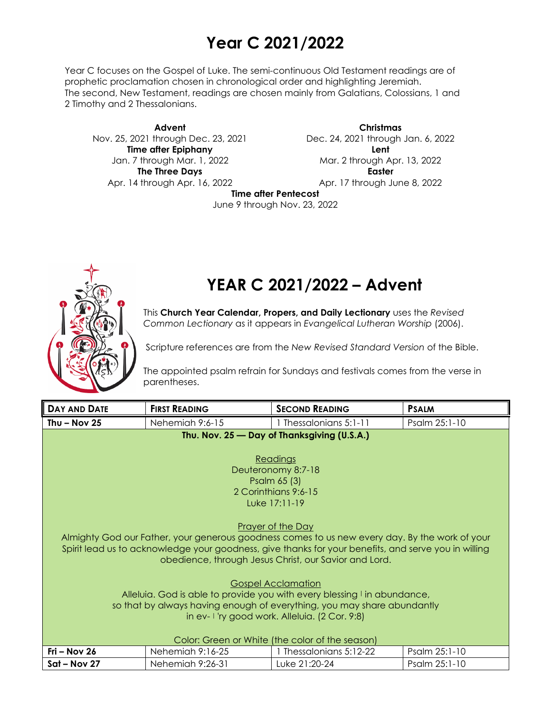# **Year C 2021/2022**

Year C focuses on the Gospel of Luke. The semi-continuous Old Testament readings are of prophetic proclamation chosen in chronological order and highlighting Jeremiah. The second, New Testament, readings are chosen mainly from Galatians, Colossians, 1 and 2 Timothy and 2 Thessalonians.

**Advent** Nov. 25, 2021 through Dec. 23, 2021 **Time after Epiphany** Jan. 7 through Mar. 1, 2022 **The Three Days** Apr. 14 through Apr. 16, 2022

**Christmas** Dec. 24, 2021 through Jan. 6, 2022 **Lent** Mar. 2 through Apr. 13, 2022 **Easter** Apr. 17 through June 8, 2022

**Time after Pentecost**

June 9 through Nov. 23, 2022



# **YEAR C 2021/2022 – Advent**

This **Church Year Calendar, Propers, and Daily Lectionary** uses the *Revised Common Lectionary* as it appears in *Evangelical Lutheran Worship* (2006).

Scripture references are from the *New Revised Standard Version* of the Bible.

The appointed psalm refrain for Sundays and festivals comes from the verse in parentheses.

| DAY AND DATE                                                             | <b>FIRST READING</b> | <b>SECOND READING</b>                                                                                | <b>PSALM</b>  |  |
|--------------------------------------------------------------------------|----------------------|------------------------------------------------------------------------------------------------------|---------------|--|
| Thu $-$ Nov 25                                                           | Nehemiah 9:6-15      | 1 Thessalonians 5:1-11                                                                               | Psalm 25:1-10 |  |
|                                                                          |                      | Thu. Nov. 25 – Day of Thanksgiving (U.S.A.)                                                          |               |  |
|                                                                          |                      |                                                                                                      |               |  |
| Readings                                                                 |                      |                                                                                                      |               |  |
| Deuteronomy 8:7-18                                                       |                      |                                                                                                      |               |  |
| Psalm 65 (3)                                                             |                      |                                                                                                      |               |  |
| 2 Corinthians 9:6-15<br>Luke 17:11-19                                    |                      |                                                                                                      |               |  |
|                                                                          |                      |                                                                                                      |               |  |
|                                                                          |                      | <b>Prayer of the Day</b>                                                                             |               |  |
|                                                                          |                      | Almighty God our Father, your generous goodness comes to us new every day. By the work of your       |               |  |
|                                                                          |                      | Spirit lead us to acknowledge your goodness, give thanks for your benefits, and serve you in willing |               |  |
|                                                                          |                      | obedience, through Jesus Christ, our Savior and Lord.                                                |               |  |
|                                                                          |                      |                                                                                                      |               |  |
|                                                                          |                      | <b>Gospel Acclamation</b>                                                                            |               |  |
| Alleluia. God is able to provide you with every blessing I in abundance, |                      |                                                                                                      |               |  |
| so that by always having enough of everything, you may share abundantly  |                      |                                                                                                      |               |  |
| in ev-1 'ry good work. Alleluia. (2 Cor. 9:8)                            |                      |                                                                                                      |               |  |
|                                                                          |                      |                                                                                                      |               |  |
| Color: Green or White (the color of the season)                          |                      |                                                                                                      |               |  |
| Fri - Nov 26                                                             | Nehemiah 9:16-25     | 1 Thessalonians 5:12-22                                                                              | Psalm 25:1-10 |  |
| Sat - Nov 27                                                             | Nehemiah 9:26-31     | Luke 21:20-24                                                                                        | Psalm 25:1-10 |  |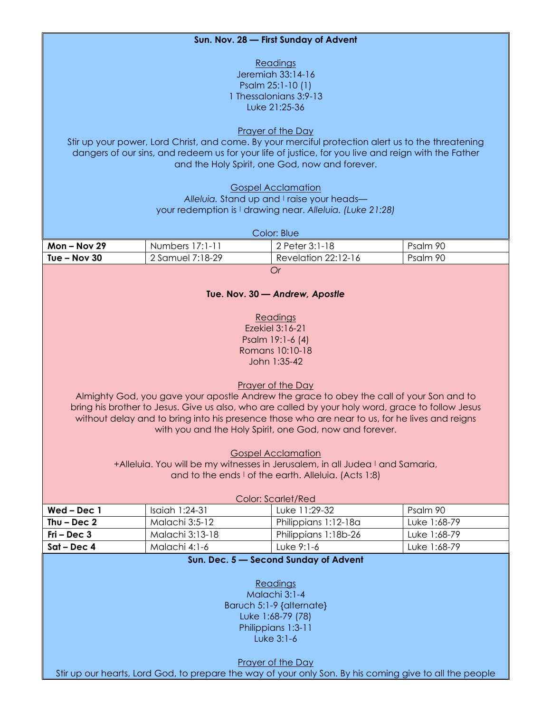#### **Sun. Nov. 28 — First Sunday of Advent**

**Readings** Jeremiah 33:14-16 Psalm 25:1-10 (1) 1 Thessalonians 3:9-13 Luke 21:25-36

Prayer of the Day

Stir up your power, Lord Christ, and come. By your merciful protection alert us to the threatening dangers of our sins, and redeem us for your life of justice, for you live and reign with the Father and the Holy Spirit, one God, now and forever.

> Gospel Acclamation Alleluia. Stand up and I raise your headsyour redemption is | drawing near. *Alleluia. (Luke 21:28)*

| Color: Blue    |                  |                     |          |  |
|----------------|------------------|---------------------|----------|--|
| $Mon - Nov 29$ | Numbers 17:1-11  | 2 Peter 3:1-18      | Psalm 90 |  |
| Tue – Nov $30$ | 2 Samuel 7:18-29 | Revelation 22:12-16 | Psalm 90 |  |
| ( )r           |                  |                     |          |  |

#### **Tue. Nov. 30 —** *Andrew, Apostle*

Readings Ezekiel 3:16-21 Psalm 19:1-6 (4) Romans 10:10-18 John 1:35-42

# Prayer of the Day

Almighty God, you gave your apostle Andrew the grace to obey the call of your Son and to bring his brother to Jesus. Give us also, who are called by your holy word, grace to follow Jesus without delay and to bring into his presence those who are near to us, for he lives and reigns with you and the Holy Spirit, one God, now and forever.

Gospel Acclamation

+Alleluia. You will be my witnesses in Jerusalem, in all Judea I and Samaria, and to the ends I of the earth. Alleluia. (Acts 1:8)

| Color: Scarlet/Red |                 |                      |              |  |
|--------------------|-----------------|----------------------|--------------|--|
| $Wed - Dec 1$      | Isaiah 1:24-31  | Luke 11:29-32        | Psalm 90     |  |
| Thu – Dec $2$      | Malachi 3:5-12  | Philippians 1:12-18a | Luke 1:68-79 |  |
| Fri – Dec $3$      | Malachi 3:13-18 | Philippians 1:18b-26 | Luke 1:68-79 |  |
| Sat – Dec 4        | Malachi 4:1-6   | Luke 9:1-6           | Luke 1:68-79 |  |

# **Sun. Dec. 5 — Second Sunday of Advent**

Readings Malachi 3:1-4 Baruch 5:1-9 {alternate} Luke 1:68-79 (78) Philippians 1:3-11 Luke 3:1-6

Prayer of the Day

Stir up our hearts, Lord God, to prepare the way of your only Son. By his coming give to all the people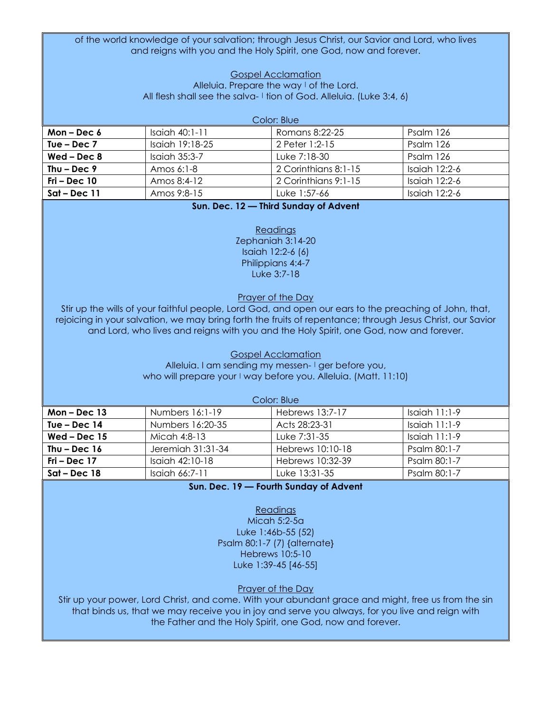of the world knowledge of your salvation; through Jesus Christ, our Savior and Lord, who lives and reigns with you and the Holy Spirit, one God, now and forever.

#### Gospel Acclamation Alleluia. Prepare the way I of the Lord. All flesh shall see the salva- I tion of God. Alleluia. (Luke 3:4, 6)

| Color: Blue    |                  |                      |                 |  |
|----------------|------------------|----------------------|-----------------|--|
| Mon – Dec $6$  | $Isaich 40:1-11$ | Romans 8:22-25       | Psalm 126       |  |
| Tue – Dec $7$  | Isaiah 19:18-25  | 2 Peter 1:2-15       | Psalm 126       |  |
| $Wed - Dec 8$  | Isaiah 35:3-7    | Luke 7:18-30         | Psalm 126       |  |
| Thu – Dec $9$  | Amos $6:1-8$     | 2 Corinthians 8:1-15 | Isaiah $12:2-6$ |  |
| $Fri - Dec 10$ | Amos 8:4-12      | 2 Corinthians 9:1-15 | Isaiah 12:2-6   |  |
| $Sat$ – Dec 11 | Amos 9:8-15      | Luke 1:57-66         | Isaiah 12:2-6   |  |

# **Sun. Dec. 12 — Third Sunday of Advent**

Readings Zephaniah 3:14-20 Isaiah 12:2-6 (6) Philippians 4:4-7 Luke 3:7-18

Prayer of the Day

Stir up the wills of your faithful people, Lord God, and open our ears to the preaching of John, that, rejoicing in your salvation, we may bring forth the fruits of repentance; through Jesus Christ, our Savior and Lord, who lives and reigns with you and the Holy Spirit, one God, now and forever.

> Gospel Acclamation Alleluia. I am sending my messen- I ger before you, who will prepare your I way before you. Alleluia. (Matt. 11:10)

| Color: Blue    |                   |                  |                 |  |
|----------------|-------------------|------------------|-----------------|--|
| Mon $-$ Dec 13 | Numbers 16:1-19   | Hebrews 13:7-17  | Isaiah 11:1-9   |  |
| Tue – Dec $14$ | Numbers 16:20-35  | Acts 28:23-31    | Isaiah $11:1-9$ |  |
| $Wed - Dec 15$ | Micah 4:8-13      | Luke 7:31-35     | Isaiah $11:1-9$ |  |
| Thu – Dec $16$ | Jeremiah 31:31-34 | Hebrews 10:10-18 | Psalm 80:1-7    |  |
| Fri – Dec 17   | Isaiah $42:10-18$ | Hebrews 10:32-39 | Psalm 80:1-7    |  |
| $Sat$ – Dec 18 | Isaiah 66:7-11    | Luke 13:31-35    | Psalm 80:1-7    |  |

**Sun. Dec. 19 — Fourth Sunday of Advent**

Readings Micah 5:2-5a Luke 1:46b-55 (52) Psalm 80:1-7 (7) {alternate} Hebrews 10:5-10 Luke 1:39-45 [46-55]

Prayer of the Day

Stir up your power, Lord Christ, and come. With your abundant grace and might, free us from the sin that binds us, that we may receive you in joy and serve you always, for you live and reign with the Father and the Holy Spirit, one God, now and forever.